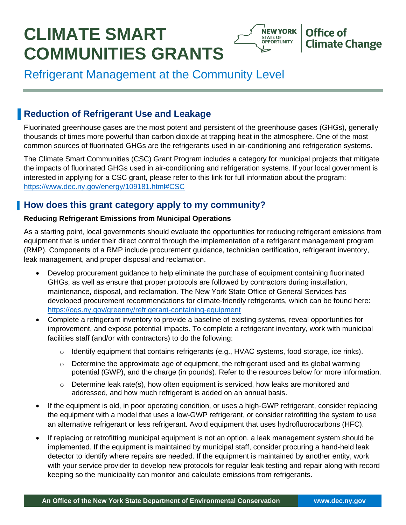# **CLIMATE SMART COMMUNITIES GRANTS**



# Refrigerant Management at the Community Level

# **Reduction of Refrigerant Use and Leakage**

Fluorinated greenhouse gases are the most potent and persistent of the greenhouse gases (GHGs), generally thousands of times more powerful than carbon dioxide at trapping heat in the atmosphere. One of the most common sources of fluorinated GHGs are the refrigerants used in air-conditioning and refrigeration systems.

The Climate Smart Communities (CSC) Grant Program includes a category for municipal projects that mitigate the impacts of fluorinated GHGs used in air-conditioning and refrigeration systems. If your local government is interested in applying for a CSC grant, please refer to this link for full information about the program: https://www.dec.ny.gov/energy/109181.html#CSC

### **How does this grant category apply to my community?**

#### **Reducing Refrigerant Emissions from Municipal Operations**

As a starting point, local governments should evaluate the opportunities for reducing refrigerant emissions from equipment that is under their direct control through the implementation of a refrigerant management program (RMP). Components of a RMP include procurement guidance, technician certification, refrigerant inventory, leak management, and proper disposal and reclamation.

- Develop procurement guidance to help eliminate the purchase of equipment containing fluorinated GHGs, as well as ensure that proper protocols are followed by contractors during installation, maintenance, disposal, and reclamation. The New York State Office of General Services has developed procurement recommendations for climate-friendly refrigerants, which can be found here: https://ogs.ny.gov/greenny/refrigerant-containing-equipment
- Complete a refrigerant inventory to provide a baseline of existing systems, reveal opportunities for improvement, and expose potential impacts. To complete a refrigerant inventory, work with municipal facilities staff (and/or with contractors) to do the following:
	- $\circ$  Identify equipment that contains refrigerants (e.g., HVAC systems, food storage, ice rinks).
	- $\circ$  Determine the approximate age of equipment, the refrigerant used and its global warming potential (GWP), and the charge (in pounds). Refer to the resources below for more information.
	- $\circ$  Determine leak rate(s), how often equipment is serviced, how leaks are monitored and addressed, and how much refrigerant is added on an annual basis.
- If the equipment is old, in poor operating condition, or uses a high-GWP refrigerant, consider replacing the equipment with a model that uses a low-GWP refrigerant, or consider retrofitting the system to use an alternative refrigerant or less refrigerant. Avoid equipment that uses hydrofluorocarbons (HFC).
- If replacing or retrofitting municipal equipment is not an option, a leak management system should be implemented. If the equipment is maintained by municipal staff, consider procuring a hand-held leak detector to identify where repairs are needed. If the equipment is maintained by another entity, work with your service provider to develop new protocols for regular leak testing and repair along with record keeping so the municipality can monitor and calculate emissions from refrigerants.